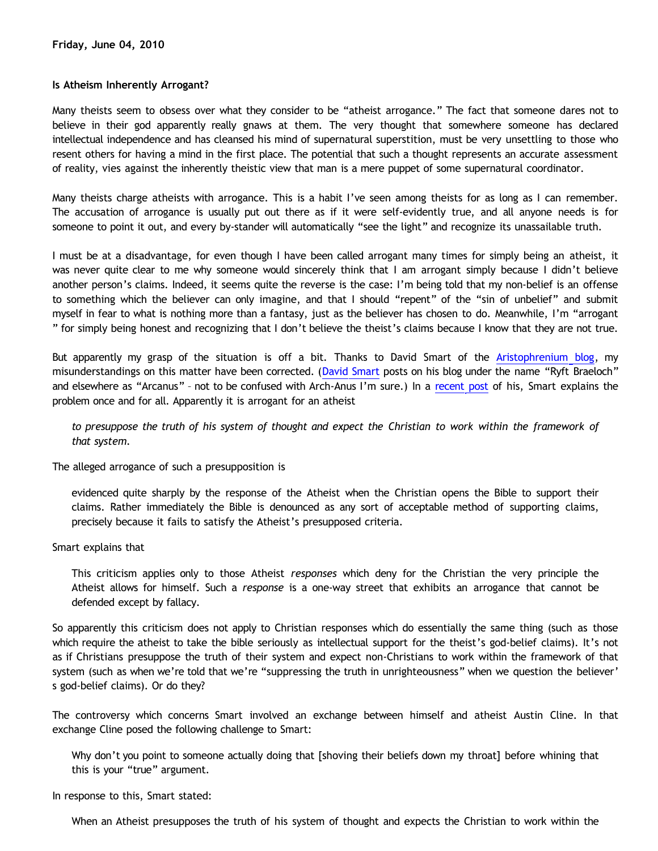## **Is Atheism Inherently Arrogant?**

Many theists seem to obsess over what they consider to be "atheist arrogance." The fact that someone dares not to believe in their god apparently really gnaws at them. The very thought that somewhere someone has declared intellectual independence and has cleansed his mind of supernatural superstition, must be very unsettling to those who resent others for having a mind in the first place. The potential that such a thought represents an accurate assessment of reality, vies against the inherently theistic view that man is a mere puppet of some supernatural coordinator.

Many theists charge atheists with arrogance. This is a habit I've seen among theists for as long as I can remember. The accusation of arrogance is usually put out there as if it were self-evidently true, and all anyone needs is for someone to point it out, and every by-stander will automatically "see the light" and recognize its unassailable truth.

I must be at a disadvantage, for even though I have been called arrogant many times for simply being an atheist, it was never quite clear to me why someone would sincerely think that I am arrogant simply because I didn't believe another person's claims. Indeed, it seems quite the reverse is the case: I'm being told that my non-belief is an offense to something which the believer can only imagine, and that I should "repent" of the "sin of unbelief" and submit myself in fear to what is nothing more than a fantasy, just as the believer has chosen to do. Meanwhile, I'm "arrogant " for simply being honest and recognizing that I don't believe the theist's claims because I know that they are not true.

But apparently my grasp of the situation is off a bit. Thanks to David Smart of the [Aristophrenium blog,](http://aristophrenium.com/) my misunderstandings on this matter have been corrected. ([David Smart](http://aristophrenium.com/aristostaff/ryft/) posts on his blog under the name "Ryft Braeloch" and elsewhere as "Arcanus" - not to be confused with Arch-Anus I'm sure.) In a [recent post](http://aristophrenium.com/ryft/the-ongoing-arrogance-of-atheism/) of his, Smart explains the problem once and for all. Apparently it is arrogant for an atheist

*to presuppose the truth of his system of thought and expect the Christian to work within the framework of that system.*

The alleged arrogance of such a presupposition is

evidenced quite sharply by the response of the Atheist when the Christian opens the Bible to support their claims. Rather immediately the Bible is denounced as any sort of acceptable method of supporting claims, precisely because it fails to satisfy the Atheist's presupposed criteria.

Smart explains that

This criticism applies only to those Atheist *responses* which deny for the Christian the very principle the Atheist allows for himself. Such a *response* is a one-way street that exhibits an arrogance that cannot be defended except by fallacy.

So apparently this criticism does not apply to Christian responses which do essentially the same thing (such as those which require the atheist to take the bible seriously as intellectual support for the theist's god-belief claims). It's not as if Christians presuppose the truth of their system and expect non-Christians to work within the framework of that system (such as when we're told that we're "suppressing the truth in unrighteousness" when we question the believer' s god-belief claims). Or do they?

The controversy which concerns Smart involved an exchange between himself and atheist Austin Cline. In that exchange Cline posed the following challenge to Smart:

Why don't you point to someone actually doing that [shoving their beliefs down my throat] before whining that this is your "true" argument.

In response to this, Smart stated:

When an Atheist presupposes the truth of his system of thought and expects the Christian to work within the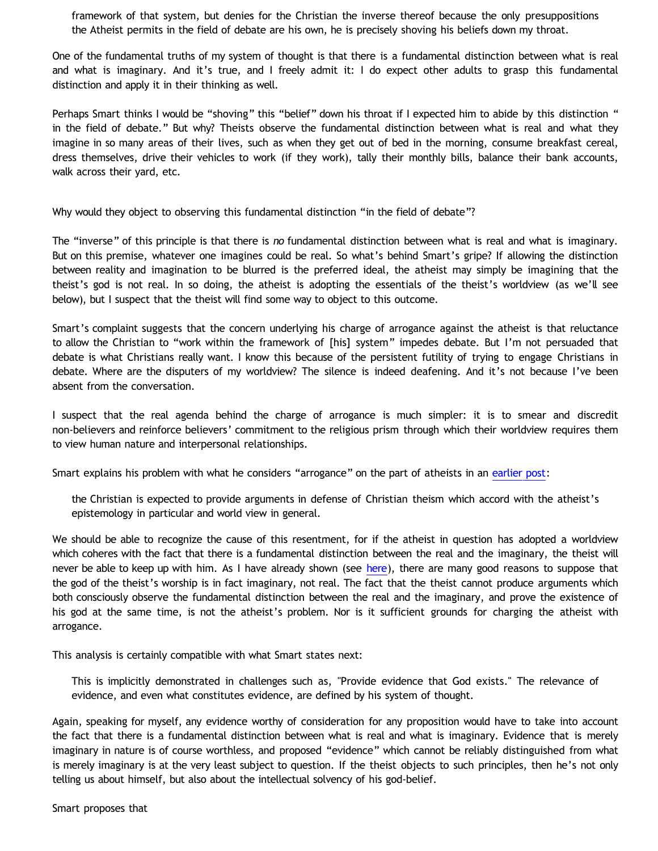framework of that system, but denies for the Christian the inverse thereof because the only presuppositions the Atheist permits in the field of debate are his own, he is precisely shoving his beliefs down my throat.

One of the fundamental truths of my system of thought is that there is a fundamental distinction between what is real and what is imaginary. And it's true, and I freely admit it: I do expect other adults to grasp this fundamental distinction and apply it in their thinking as well.

Perhaps Smart thinks I would be "shoving" this "belief" down his throat if I expected him to abide by this distinction " in the field of debate." But why? Theists observe the fundamental distinction between what is real and what they imagine in so many areas of their lives, such as when they get out of bed in the morning, consume breakfast cereal, dress themselves, drive their vehicles to work (if they work), tally their monthly bills, balance their bank accounts, walk across their yard, etc.

Why would they object to observing this fundamental distinction "in the field of debate"?

The "inverse" of this principle is that there is *no* fundamental distinction between what is real and what is imaginary. But on this premise, whatever one imagines could be real. So what's behind Smart's gripe? If allowing the distinction between reality and imagination to be blurred is the preferred ideal, the atheist may simply be imagining that the theist's god is not real. In so doing, the atheist is adopting the essentials of the theist's worldview (as we'll see below), but I suspect that the theist will find some way to object to this outcome.

Smart's complaint suggests that the concern underlying his charge of arrogance against the atheist is that reluctance to allow the Christian to "work within the framework of [his] system" impedes debate. But I'm not persuaded that debate is what Christians really want. I know this because of the persistent futility of trying to engage Christians in debate. Where are the disputers of my worldview? The silence is indeed deafening. And it's not because I've been absent from the conversation.

I suspect that the real agenda behind the charge of arrogance is much simpler: it is to smear and discredit non-believers and reinforce believers' commitment to the religious prism through which their worldview requires them to view human nature and interpersonal relationships.

Smart explains his problem with what he considers "arrogance" on the part of atheists in an [earlier post](http://aristophrenium.com/ryft/the-arrogance-of-atheism/):

the Christian is expected to provide arguments in defense of Christian theism which accord with the atheist's epistemology in particular and world view in general.

We should be able to recognize the cause of this resentment, for if the atheist in question has adopted a worldview which coheres with the fact that there is a fundamental distinction between the real and the imaginary, the theist will never be able to keep up with him. As I have already shown (see [here\)](http://bahnsenburner.blogspot.com/2010/05/imaginative-nature-of-christian-theism.html), there are many good reasons to suppose that the god of the theist's worship is in fact imaginary, not real. The fact that the theist cannot produce arguments which both consciously observe the fundamental distinction between the real and the imaginary, and prove the existence of his god at the same time, is not the atheist's problem. Nor is it sufficient grounds for charging the atheist with arrogance.

This analysis is certainly compatible with what Smart states next:

This is implicitly demonstrated in challenges such as, "Provide evidence that God exists." The relevance of evidence, and even what constitutes evidence, are defined by his system of thought.

Again, speaking for myself, any evidence worthy of consideration for any proposition would have to take into account the fact that there is a fundamental distinction between what is real and what is imaginary. Evidence that is merely imaginary in nature is of course worthless, and proposed "evidence" which cannot be reliably distinguished from what is merely imaginary is at the very least subject to question. If the theist objects to such principles, then he's not only telling us about himself, but also about the intellectual solvency of his god-belief.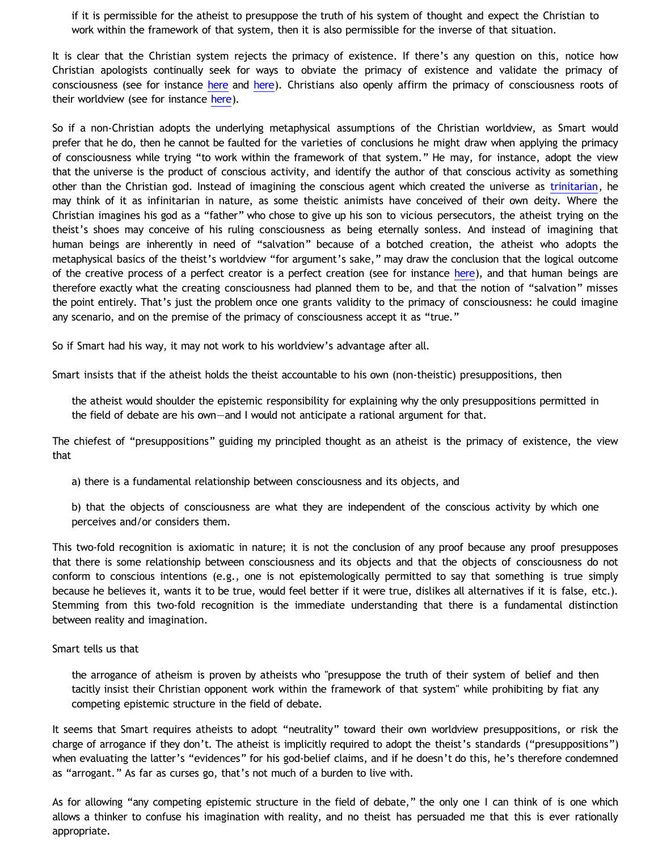if it is permissible for the atheist to presuppose the truth of his system of thought and expect the Christian to work within the framework of that system, then it is also permissible for the inverse of that situation.

It is clear that the Christian system rejects the primacy of existence. If there's any question on this, notice how Christian apologists continually seek for ways to obviate the primacy of existence and validate the primacy of consciousness (see for instance [here](http://bahnsenburner.blogspot.com/2008/12/inherent-subjectivism-of-god-belief.html) and [here\)](http://bahnsenburner.blogspot.com/2010/02/how-theism-violates-primacy-of.html). Christians also openly affirm the primacy of consciousness roots of their worldview (see for instance [here](http://bahnsenburner.blogspot.com/2006/03/confessions-of-vantillian-subjectivist.html)).

So if a non-Christian adopts the underlying metaphysical assumptions of the Christian worldview, as Smart would prefer that he do, then he cannot be faulted for the varieties of conclusions he might draw when applying the primacy of consciousness while trying "to work within the framework of that system." He may, for instance, adopt the view that the universe is the product of conscious activity, and identify the author of that conscious activity as something other than the Christian god. Instead of imagining the conscious agent which created the universe as [trinitarian](http://bahnsenburner.blogspot.com/2009/07/does-logic-presuppose-christian-god_08.html), he may think of it as infinitarian in nature, as some theistic animists have conceived of their own deity. Where the Christian imagines his god as a "father" who chose to give up his son to vicious persecutors, the atheist trying on the theist's shoes may conceive of his ruling consciousness as being eternally sonless. And instead of imagining that human beings are inherently in need of "salvation" because of a botched creation, the atheist who adopts the metaphysical basics of the theist's worldview "for argument's sake," may draw the conclusion that the logical outcome of the creative process of a perfect creator is a perfect creation (see for instance [here](http://bahnsenburner.blogspot.com/2009/03/was-adam-created-perfect.html)), and that human beings are therefore exactly what the creating consciousness had planned them to be, and that the notion of "salvation" misses the point entirely. That's just the problem once one grants validity to the primacy of consciousness: he could imagine any scenario, and on the premise of the primacy of consciousness accept it as "true."

So if Smart had his way, it may not work to his worldview's advantage after all.

Smart insists that if the atheist holds the theist accountable to his own (non-theistic) presuppositions, then

the atheist would shoulder the epistemic responsibility for explaining why the only presuppositions permitted in the field of debate are his own—and I would not anticipate a rational argument for that.

The chiefest of "presuppositions" guiding my principled thought as an atheist is the primacy of existence, the view that

a) there is a fundamental relationship between consciousness and its objects, and

b) that the objects of consciousness are what they are independent of the conscious activity by which one perceives and/or considers them.

This two-fold recognition is axiomatic in nature; it is not the conclusion of any proof because any proof presupposes that there is some relationship between consciousness and its objects and that the objects of consciousness do not conform to conscious intentions (e.g., one is not epistemologically permitted to say that something is true simply because he believes it, wants it to be true, would feel better if it were true, dislikes all alternatives if it is false, etc.). Stemming from this two-fold recognition is the immediate understanding that there is a fundamental distinction between reality and imagination.

#### Smart tells us that

the arrogance of atheism is proven by atheists who "presuppose the truth of their system of belief and then tacitly insist their Christian opponent work within the framework of that system" while prohibiting by fiat any competing epistemic structure in the field of debate.

It seems that Smart requires atheists to adopt "neutrality" toward their own worldview presuppositions, or risk the charge of arrogance if they don't. The atheist is implicitly required to adopt the theist's standards ("presuppositions") when evaluating the latter's "evidences" for his god-belief claims, and if he doesn't do this, he's therefore condemned as "arrogant." As far as curses go, that's not much of a burden to live with.

As for allowing "any competing epistemic structure in the field of debate," the only one I can think of is one which allows a thinker to confuse his imagination with reality, and no theist has persuaded me that this is ever rationally appropriate.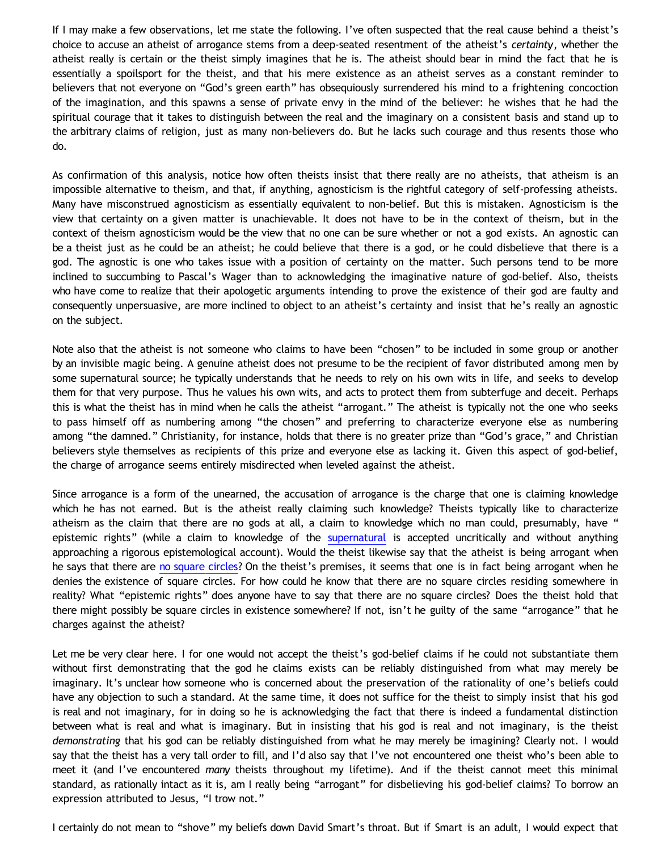If I may make a few observations, let me state the following. I've often suspected that the real cause behind a theist's choice to accuse an atheist of arrogance stems from a deep-seated resentment of the atheist's *certainty*, whether the atheist really is certain or the theist simply imagines that he is. The atheist should bear in mind the fact that he is essentially a spoilsport for the theist, and that his mere existence as an atheist serves as a constant reminder to believers that not everyone on "God's green earth" has obsequiously surrendered his mind to a frightening concoction of the imagination, and this spawns a sense of private envy in the mind of the believer: he wishes that he had the spiritual courage that it takes to distinguish between the real and the imaginary on a consistent basis and stand up to the arbitrary claims of religion, just as many non-believers do. But he lacks such courage and thus resents those who do.

As confirmation of this analysis, notice how often theists insist that there really are no atheists, that atheism is an impossible alternative to theism, and that, if anything, agnosticism is the rightful category of self-professing atheists. Many have misconstrued agnosticism as essentially equivalent to non-belief. But this is mistaken. Agnosticism is the view that certainty on a given matter is unachievable. It does not have to be in the context of theism, but in the context of theism agnosticism would be the view that no one can be sure whether or not a god exists. An agnostic can be a theist just as he could be an atheist; he could believe that there is a god, or he could disbelieve that there is a god. The agnostic is one who takes issue with a position of certainty on the matter. Such persons tend to be more inclined to succumbing to Pascal's Wager than to acknowledging the imaginative nature of god-belief. Also, theists who have come to realize that their apologetic arguments intending to prove the existence of their god are faulty and consequently unpersuasive, are more inclined to object to an atheist's certainty and insist that he's really an agnostic on the subject.

Note also that the atheist is not someone who claims to have been "chosen" to be included in some group or another by an invisible magic being. A genuine atheist does not presume to be the recipient of favor distributed among men by some supernatural source; he typically understands that he needs to rely on his own wits in life, and seeks to develop them for that very purpose. Thus he values his own wits, and acts to protect them from subterfuge and deceit. Perhaps this is what the theist has in mind when he calls the atheist "arrogant." The atheist is typically not the one who seeks to pass himself off as numbering among "the chosen" and preferring to characterize everyone else as numbering among "the damned." Christianity, for instance, holds that there is no greater prize than "God's grace," and Christian believers style themselves as recipients of this prize and everyone else as lacking it. Given this aspect of god-belief, the charge of arrogance seems entirely misdirected when leveled against the atheist.

Since arrogance is a form of the unearned, the accusation of arrogance is the charge that one is claiming knowledge which he has not earned. But is the atheist really claiming such knowledge? Theists typically like to characterize atheism as the claim that there are no gods at all, a claim to knowledge which no man could, presumably, have " epistemic rights" (while a claim to knowledge of the [supernatural](http://www.katholon.com/Bahnsen_Supernatural.htm) is accepted uncritically and without anything approaching a rigorous epistemological account). Would the theist likewise say that the atheist is being arrogant when he says that there are [no square circles](http://katholon.com/squarecircles.htm)? On the theist's premises, it seems that one is in fact being arrogant when he denies the existence of square circles. For how could he know that there are no square circles residing somewhere in reality? What "epistemic rights" does anyone have to say that there are no square circles? Does the theist hold that there might possibly be square circles in existence somewhere? If not, isn't he guilty of the same "arrogance" that he charges against the atheist?

Let me be very clear here. I for one would not accept the theist's god-belief claims if he could not substantiate them without first demonstrating that the god he claims exists can be reliably distinguished from what may merely be imaginary. It's unclear how someone who is concerned about the preservation of the rationality of one's beliefs could have any objection to such a standard. At the same time, it does not suffice for the theist to simply insist that his god is real and not imaginary, for in doing so he is acknowledging the fact that there is indeed a fundamental distinction between what is real and what is imaginary. But in insisting that his god is real and not imaginary, is the theist *demonstrating* that his god can be reliably distinguished from what he may merely be imagining? Clearly not. I would say that the theist has a very tall order to fill, and I'd also say that I've not encountered one theist who's been able to meet it (and I've encountered *many* theists throughout my lifetime). And if the theist cannot meet this minimal standard, as rationally intact as it is, am I really being "arrogant" for disbelieving his god-belief claims? To borrow an expression attributed to Jesus, "I trow not."

I certainly do not mean to "shove" my beliefs down David Smart's throat. But if Smart is an adult, I would expect that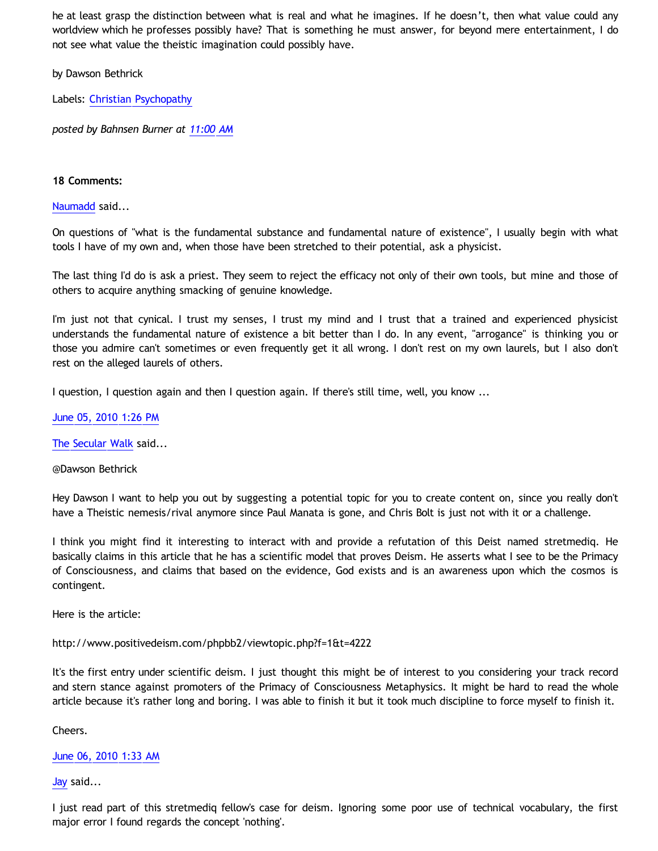he at least grasp the distinction between what is real and what he imagines. If he doesn't, then what value could any worldview which he professes possibly have? That is something he must answer, for beyond mere entertainment, I do not see what value the theistic imagination could possibly have.

by Dawson Bethrick

Labels: [Christian Psychopathy](http://bahnsenburner.blogspot.com/search/label/Christian%20Psychopathy)

*posted by Bahnsen Burner at [11:00 AM](http://bahnsenburner.blogspot.com/2010/06/is-atheism-inherently-arrogant.html)*

### **18 Comments:**

[Naumadd](http://www.blogger.com/profile/17185784949325429557) said...

On questions of "what is the fundamental substance and fundamental nature of existence", I usually begin with what tools I have of my own and, when those have been stretched to their potential, ask a physicist.

The last thing I'd do is ask a priest. They seem to reject the efficacy not only of their own tools, but mine and those of others to acquire anything smacking of genuine knowledge.

I'm just not that cynical. I trust my senses, I trust my mind and I trust that a trained and experienced physicist understands the fundamental nature of existence a bit better than I do. In any event, "arrogance" is thinking you or those you admire can't sometimes or even frequently get it all wrong. I don't rest on my own laurels, but I also don't rest on the alleged laurels of others.

I question, I question again and then I question again. If there's still time, well, you know ...

[June 05, 2010 1:26 PM](http://bahnsenburner.blogspot.com/2010/06/9127024745184539324)

[The Secular Walk](http://www.blogger.com/profile/08342572056569966450) said...

@Dawson Bethrick

Hey Dawson I want to help you out by suggesting a potential topic for you to create content on, since you really don't have a Theistic nemesis/rival anymore since Paul Manata is gone, and Chris Bolt is just not with it or a challenge.

I think you might find it interesting to interact with and provide a refutation of this Deist named stretmediq. He basically claims in this article that he has a scientific model that proves Deism. He asserts what I see to be the Primacy of Consciousness, and claims that based on the evidence, God exists and is an awareness upon which the cosmos is contingent.

Here is the article:

<http://www.positivedeism.com/phpbb2/viewtopic.php?f=1&t=4222>

It's the first entry under scientific deism. I just thought this might be of interest to you considering your track record and stern stance against promoters of the Primacy of Consciousness Metaphysics. It might be hard to read the whole article because it's rather long and boring. I was able to finish it but it took much discipline to force myself to finish it.

Cheers.

[June 06, 2010 1:33 AM](http://bahnsenburner.blogspot.com/2010/06/2869472090194557556)

[Jay](http://www.blogger.com/profile/09604208085934821426) said...

I just read part of this stretmediq fellow's case for deism. Ignoring some poor use of technical vocabulary, the first major error I found regards the concept 'nothing'.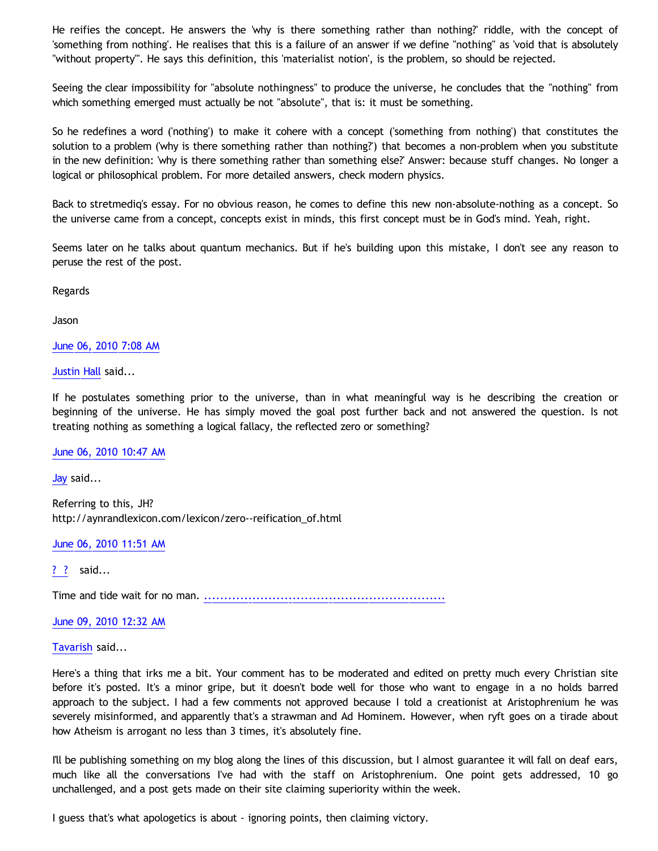He reifies the concept. He answers the 'why is there something rather than nothing?' riddle, with the concept of 'something from nothing'. He realises that this is a failure of an answer if we define "nothing" as 'void that is absolutely "without property"'. He says this definition, this 'materialist notion', is the problem, so should be rejected.

Seeing the clear impossibility for "absolute nothingness" to produce the universe, he concludes that the "nothing" from which something emerged must actually be not "absolute", that is: it must be something.

So he redefines a word ('nothing') to make it cohere with a concept ('something from nothing') that constitutes the solution to a problem ('why is there something rather than nothing?') that becomes a non-problem when you substitute in the new definition: 'why is there something rather than something else?' Answer: because stuff changes. No longer a logical or philosophical problem. For more detailed answers, check modern physics.

Back to stretmediq's essay. For no obvious reason, he comes to define this new non-absolute-nothing as a concept. So the universe came from a concept, concepts exist in minds, this first concept must be in God's mind. Yeah, right.

Seems later on he talks about quantum mechanics. But if he's building upon this mistake, I don't see any reason to peruse the rest of the post.

Regards

Jason

[June 06, 2010 7:08 AM](http://bahnsenburner.blogspot.com/2010/06/1099138259289121472)

[Justin Hall](http://www.blogger.com/profile/17804641315202800289) said...

If he postulates something prior to the universe, than in what meaningful way is he describing the creation or beginning of the universe. He has simply moved the goal post further back and not answered the question. Is not treating nothing as something a logical fallacy, the reflected zero or something?

[June 06, 2010 10:47 AM](http://bahnsenburner.blogspot.com/2010/06/1806027389503087362)

[Jay](http://www.blogger.com/profile/09604208085934821426) said...

Referring to this, JH? [http://aynrandlexicon.com/lexicon/zero--reification\\_of.html](http://aynrandlexicon.com/lexicon/zero--reification_of.html)

[June 06, 2010 11:51 AM](http://bahnsenburner.blogspot.com/2010/06/7585707095694380213)

[? ?](http://www.blogger.com/profile/08054135694754986285) said...

Time and tide wait for no man. [.](http://album.ggyy350.com)[.](http://dk.ggyy350.com)[.](http://ggyy340.com)[.](http://bar.ggyy340.com)[.](http://beauty.ggyy340.com)[.](http://body.ggyy340.com)[.](http://book.ggyy340.com)[.](http://cam.ggyy340.com)[.](http://candy.ggyy340.com)[.](http://ch5.ggyy340.com)[.](http://channel.ggyy340.com)[.](http://chat.ggyy340.com)[.](http://album.d697.com)[.](http://dk.d697.com)[.](http://d540.com)[.](http://bar.d540.com)[.](http://beauty.d540.com)[.](http://body.d540.com)[.](http://book.d540.com)[.](http://cam.d540.com)[.](http://candy.d540.com)[.](http://ch5.d540.com)[.](http://channel.d540.com)[.](http://chat.d540.com)[.](http://album.chat089.com)[.](http://dk.chat089.com)[.](http://chat084.com)[.](http://bar.chat084.com)[.](http://beauty.chat084.com)[.](http://body.chat084.com)[.](http://book.chat084.com)[.](http://cam.chat084.com)[.](http://candy.chat084.com)[.](http://ch5.chat084.com)[.](http://channel.chat084.com)[.](http://chat.chat084.com)[.](http://album.cam099.com)[.](http://dk.cam099.com)[.](http://cam035.com)[.](http://bar.cam035.com)[.](http://beauty.cam035.com)[.](http://body.cam035.com)[.](http://book.cam035.com)[.](http://cam.cam035.com)[.](http://candy.cam035.com)[.](http://ch5.cam035.com)[.](http://channel.cam035.com)[.](http://chat.cam035.com)[.](http://album.baby084.com)[.](http://dk.baby084.com)[.](http://b969.com)[.](http://bar.b969.com)[.](http://beauty.b969.com)[.](http://body.b969.com)[.](http://book.b969.com)[.](http://cam.b969.com)[.](http://candy.b969.com)[.](http://ch5.b969.com)[.](http://channel.b969.com)[.](http://chat.b969.com)

[June 09, 2010 12:32 AM](http://bahnsenburner.blogspot.com/2010/06/562706322623300831)

[Tavarish](http://www.blogger.com/profile/16944997549708501182) said...

Here's a thing that irks me a bit. Your comment has to be moderated and edited on pretty much every Christian site before it's posted. It's a minor gripe, but it doesn't bode well for those who want to engage in a no holds barred approach to the subject. I had a few comments not approved because I told a creationist at Aristophrenium he was severely misinformed, and apparently that's a strawman and Ad Hominem. However, when ryft goes on a tirade about how Atheism is arrogant no less than 3 times, it's absolutely fine.

I'll be publishing something on my blog along the lines of this discussion, but I almost guarantee it will fall on deaf ears, much like all the conversations I've had with the staff on Aristophrenium. One point gets addressed, 10 go unchallenged, and a post gets made on their site claiming superiority within the week.

I guess that's what apologetics is about - ignoring points, then claiming victory.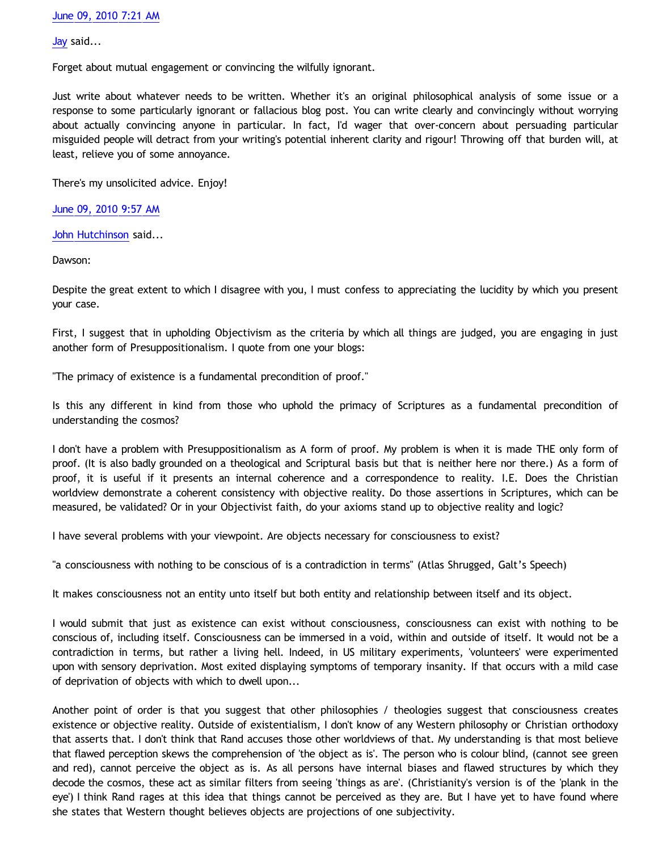[Jay](http://www.blogger.com/profile/09604208085934821426) said...

Forget about mutual engagement or convincing the wilfully ignorant.

Just write about whatever needs to be written. Whether it's an original philosophical analysis of some issue or a response to some particularly ignorant or fallacious blog post. You can write clearly and convincingly without worrying about actually convincing anyone in particular. In fact, I'd wager that over-concern about persuading particular misguided people will detract from your writing's potential inherent clarity and rigour! Throwing off that burden will, at least, relieve you of some annoyance.

There's my unsolicited advice. Enjoy!

[June 09, 2010 9:57 AM](http://bahnsenburner.blogspot.com/2010/06/6285117811824645191)

[John Hutchinson](http://www.blogger.com/profile/15209178822938252226) said...

Dawson:

Despite the great extent to which I disagree with you, I must confess to appreciating the lucidity by which you present your case.

First, I suggest that in upholding Objectivism as the criteria by which all things are judged, you are engaging in just another form of Presuppositionalism. I quote from one your blogs:

"The primacy of existence is a fundamental precondition of proof."

Is this any different in kind from those who uphold the primacy of Scriptures as a fundamental precondition of understanding the cosmos?

I don't have a problem with Presuppositionalism as A form of proof. My problem is when it is made THE only form of proof. (It is also badly grounded on a theological and Scriptural basis but that is neither here nor there.) As a form of proof, it is useful if it presents an internal coherence and a correspondence to reality. I.E. Does the Christian worldview demonstrate a coherent consistency with objective reality. Do those assertions in Scriptures, which can be measured, be validated? Or in your Objectivist faith, do your axioms stand up to objective reality and logic?

I have several problems with your viewpoint. Are objects necessary for consciousness to exist?

"a consciousness with nothing to be conscious of is a contradiction in terms" (Atlas Shrugged, Galt's Speech)

It makes consciousness not an entity unto itself but both entity and relationship between itself and its object.

I would submit that just as existence can exist without consciousness, consciousness can exist with nothing to be conscious of, including itself. Consciousness can be immersed in a void, within and outside of itself. It would not be a contradiction in terms, but rather a living hell. Indeed, in US military experiments, 'volunteers' were experimented upon with sensory deprivation. Most exited displaying symptoms of temporary insanity. If that occurs with a mild case of deprivation of objects with which to dwell upon...

Another point of order is that you suggest that other philosophies / theologies suggest that consciousness creates existence or objective reality. Outside of existentialism, I don't know of any Western philosophy or Christian orthodoxy that asserts that. I don't think that Rand accuses those other worldviews of that. My understanding is that most believe that flawed perception skews the comprehension of 'the object as is'. The person who is colour blind, (cannot see green and red), cannot perceive the object as is. As all persons have internal biases and flawed structures by which they decode the cosmos, these act as similar filters from seeing 'things as are'. (Christianity's version is of the 'plank in the eye') I think Rand rages at this idea that things cannot be perceived as they are. But I have yet to have found where she states that Western thought believes objects are projections of one subjectivity.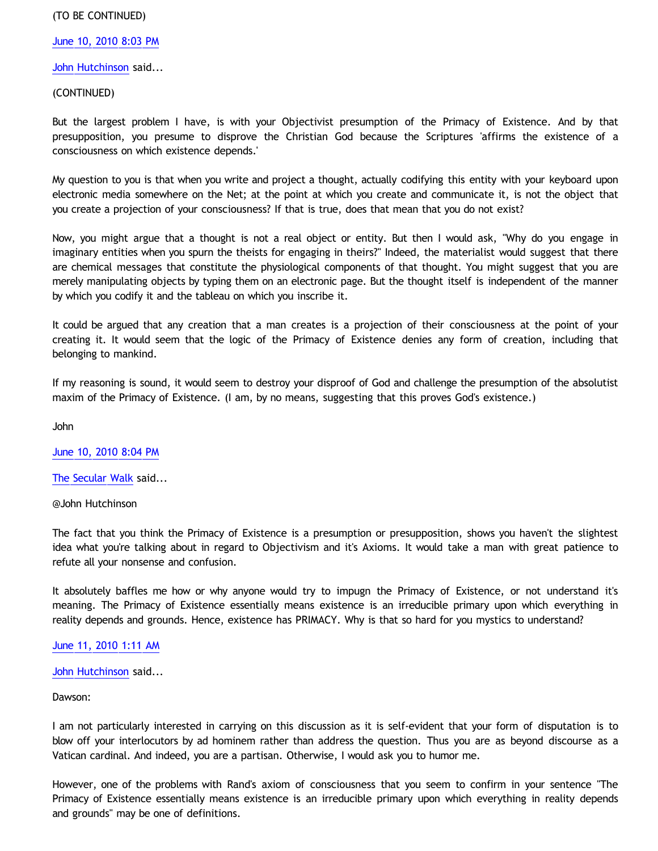### (TO BE CONTINUED)

[June 10, 2010 8:03 PM](http://bahnsenburner.blogspot.com/2010/06/8345523682137762097)

[John Hutchinson](http://www.blogger.com/profile/15209178822938252226) said...

(CONTINUED)

But the largest problem I have, is with your Objectivist presumption of the Primacy of Existence. And by that presupposition, you presume to disprove the Christian God because the Scriptures 'affirms the existence of a consciousness on which existence depends.'

My question to you is that when you write and project a thought, actually codifying this entity with your keyboard upon electronic media somewhere on the Net; at the point at which you create and communicate it, is not the object that you create a projection of your consciousness? If that is true, does that mean that you do not exist?

Now, you might argue that a thought is not a real object or entity. But then I would ask, "Why do you engage in imaginary entities when you spurn the theists for engaging in theirs?" Indeed, the materialist would suggest that there are chemical messages that constitute the physiological components of that thought. You might suggest that you are merely manipulating objects by typing them on an electronic page. But the thought itself is independent of the manner by which you codify it and the tableau on which you inscribe it.

It could be argued that any creation that a man creates is a projection of their consciousness at the point of your creating it. It would seem that the logic of the Primacy of Existence denies any form of creation, including that belonging to mankind.

If my reasoning is sound, it would seem to destroy your disproof of God and challenge the presumption of the absolutist maxim of the Primacy of Existence. (I am, by no means, suggesting that this proves God's existence.)

John

[June 10, 2010 8:04 PM](http://bahnsenburner.blogspot.com/2010/06/2909525640206547457)

[The Secular Walk](http://www.blogger.com/profile/08342572056569966450) said...

@John Hutchinson

The fact that you think the Primacy of Existence is a presumption or presupposition, shows you haven't the slightest idea what you're talking about in regard to Objectivism and it's Axioms. It would take a man with great patience to refute all your nonsense and confusion.

It absolutely baffles me how or why anyone would try to impugn the Primacy of Existence, or not understand it's meaning. The Primacy of Existence essentially means existence is an irreducible primary upon which everything in reality depends and grounds. Hence, existence has PRIMACY. Why is that so hard for you mystics to understand?

[June 11, 2010 1:11 AM](http://bahnsenburner.blogspot.com/2010/06/1074249972637892909)

[John Hutchinson](http://www.blogger.com/profile/15209178822938252226) said...

Dawson:

I am not particularly interested in carrying on this discussion as it is self-evident that your form of disputation is to blow off your interlocutors by ad hominem rather than address the question. Thus you are as beyond discourse as a Vatican cardinal. And indeed, you are a partisan. Otherwise, I would ask you to humor me.

However, one of the problems with Rand's axiom of consciousness that you seem to confirm in your sentence "The Primacy of Existence essentially means existence is an irreducible primary upon which everything in reality depends and grounds" may be one of definitions.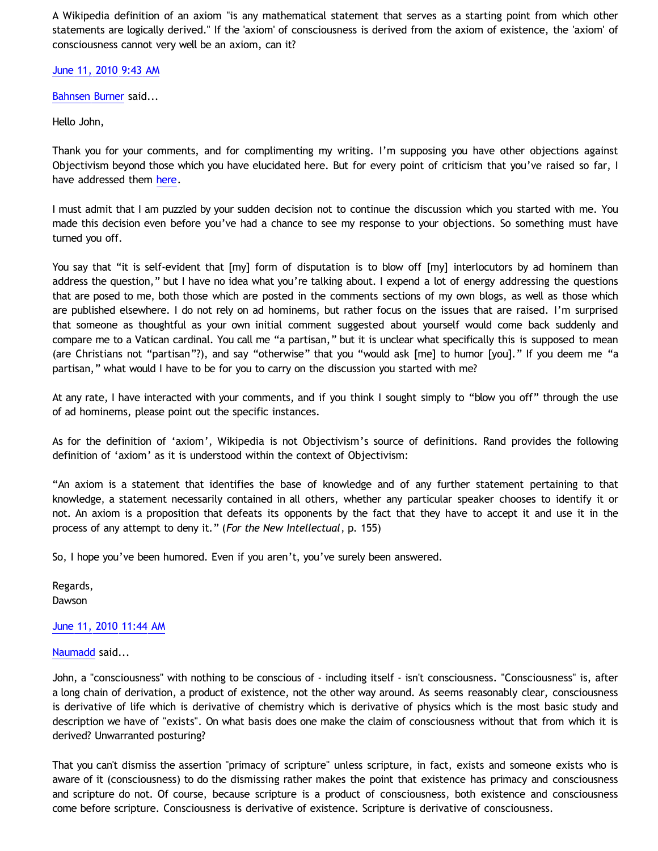A Wikipedia definition of an axiom "is any mathematical statement that serves as a starting point from which other statements are logically derived." If the 'axiom' of consciousness is derived from the axiom of existence, the 'axiom' of consciousness cannot very well be an axiom, can it?

# [June 11, 2010 9:43 AM](http://bahnsenburner.blogspot.com/2010/06/768093672171753254)

[Bahnsen Burner](http://www.blogger.com/profile/11030029491768748360) said...

Hello John,

Thank you for your comments, and for complimenting my writing. I'm supposing you have other objections against Objectivism beyond those which you have elucidated here. But for every point of criticism that you've raised so far, I have addressed them [here](http://bahnsenburner.blogspot.com/2010/06/answering-hutchinsons-critique-of.html).

I must admit that I am puzzled by your sudden decision not to continue the discussion which you started with me. You made this decision even before you've had a chance to see my response to your objections. So something must have turned you off.

You say that "it is self-evident that  $[my]$  form of disputation is to blow off  $[my]$  interlocutors by ad hominem than address the question," but I have no idea what you're talking about. I expend a lot of energy addressing the questions that are posed to me, both those which are posted in the comments sections of my own blogs, as well as those which are published elsewhere. I do not rely on ad hominems, but rather focus on the issues that are raised. I'm surprised that someone as thoughtful as your own initial comment suggested about yourself would come back suddenly and compare me to a Vatican cardinal. You call me "a partisan," but it is unclear what specifically this is supposed to mean (are Christians not "partisan"?), and say "otherwise" that you "would ask [me] to humor [you]." If you deem me "a partisan," what would I have to be for you to carry on the discussion you started with me?

At any rate, I have interacted with your comments, and if you think I sought simply to "blow you off" through the use of ad hominems, please point out the specific instances.

As for the definition of 'axiom', Wikipedia is not Objectivism's source of definitions. Rand provides the following definition of 'axiom' as it is understood within the context of Objectivism:

"An axiom is a statement that identifies the base of knowledge and of any further statement pertaining to that knowledge, a statement necessarily contained in all others, whether any particular speaker chooses to identify it or not. An axiom is a proposition that defeats its opponents by the fact that they have to accept it and use it in the process of any attempt to deny it." (*For the New Intellectual*, p. 155)

So, I hope you've been humored. Even if you aren't, you've surely been answered.

Regards, Dawson

# [June 11, 2010 11:44 AM](http://bahnsenburner.blogspot.com/2010/06/759042054217021471)

[Naumadd](http://www.blogger.com/profile/17185784949325429557) said...

John, a "consciousness" with nothing to be conscious of - including itself - isn't consciousness. "Consciousness" is, after a long chain of derivation, a product of existence, not the other way around. As seems reasonably clear, consciousness is derivative of life which is derivative of chemistry which is derivative of physics which is the most basic study and description we have of "exists". On what basis does one make the claim of consciousness without that from which it is derived? Unwarranted posturing?

That you can't dismiss the assertion "primacy of scripture" unless scripture, in fact, exists and someone exists who is aware of it (consciousness) to do the dismissing rather makes the point that existence has primacy and consciousness and scripture do not. Of course, because scripture is a product of consciousness, both existence and consciousness come before scripture. Consciousness is derivative of existence. Scripture is derivative of consciousness.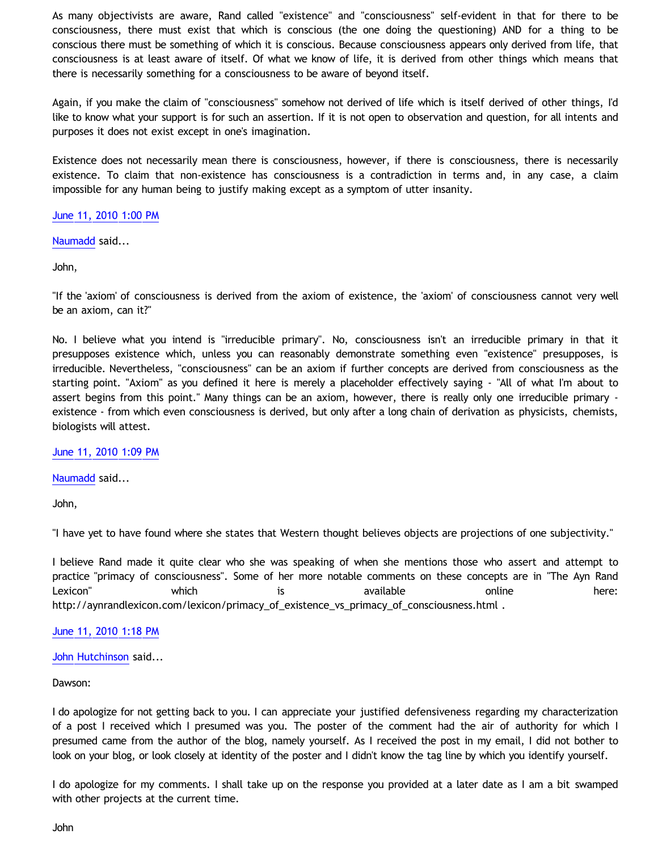As many objectivists are aware, Rand called "existence" and "consciousness" self-evident in that for there to be consciousness, there must exist that which is conscious (the one doing the questioning) AND for a thing to be conscious there must be something of which it is conscious. Because consciousness appears only derived from life, that consciousness is at least aware of itself. Of what we know of life, it is derived from other things which means that there is necessarily something for a consciousness to be aware of beyond itself.

Again, if you make the claim of "consciousness" somehow not derived of life which is itself derived of other things, I'd like to know what your support is for such an assertion. If it is not open to observation and question, for all intents and purposes it does not exist except in one's imagination.

Existence does not necessarily mean there is consciousness, however, if there is consciousness, there is necessarily existence. To claim that non-existence has consciousness is a contradiction in terms and, in any case, a claim impossible for any human being to justify making except as a symptom of utter insanity.

### [June 11, 2010 1:00 PM](http://bahnsenburner.blogspot.com/2010/06/4000826258960557824)

[Naumadd](http://www.blogger.com/profile/17185784949325429557) said...

John,

"If the 'axiom' of consciousness is derived from the axiom of existence, the 'axiom' of consciousness cannot very well be an axiom, can it?"

No. I believe what you intend is "irreducible primary". No, consciousness isn't an irreducible primary in that it presupposes existence which, unless you can reasonably demonstrate something even "existence" presupposes, is irreducible. Nevertheless, "consciousness" can be an axiom if further concepts are derived from consciousness as the starting point. "Axiom" as you defined it here is merely a placeholder effectively saying - "All of what I'm about to assert begins from this point." Many things can be an axiom, however, there is really only one irreducible primary existence - from which even consciousness is derived, but only after a long chain of derivation as physicists, chemists, biologists will attest.

[June 11, 2010 1:09 PM](http://bahnsenburner.blogspot.com/2010/06/451478607890059215)

[Naumadd](http://www.blogger.com/profile/17185784949325429557) said...

John,

"I have yet to have found where she states that Western thought believes objects are projections of one subjectivity."

I believe Rand made it quite clear who she was speaking of when she mentions those who assert and attempt to practice "primacy of consciousness". Some of her more notable comments on these concepts are in "The Ayn Rand Lexicon" which is available online here: [http://aynrandlexicon.com/lexicon/primacy\\_of\\_existence\\_vs\\_primacy\\_of\\_consciousness.html](http://aynrandlexicon.com/lexicon/primacy_of_existence_vs_primacy_of_consciousness.html) .

#### [June 11, 2010 1:18 PM](http://bahnsenburner.blogspot.com/2010/06/5413498993655807385)

[John Hutchinson](http://www.blogger.com/profile/15209178822938252226) said...

Dawson:

I do apologize for not getting back to you. I can appreciate your justified defensiveness regarding my characterization of a post I received which I presumed was you. The poster of the comment had the air of authority for which I presumed came from the author of the blog, namely yourself. As I received the post in my email, I did not bother to look on your blog, or look closely at identity of the poster and I didn't know the tag line by which you identify yourself.

I do apologize for my comments. I shall take up on the response you provided at a later date as I am a bit swamped with other projects at the current time.